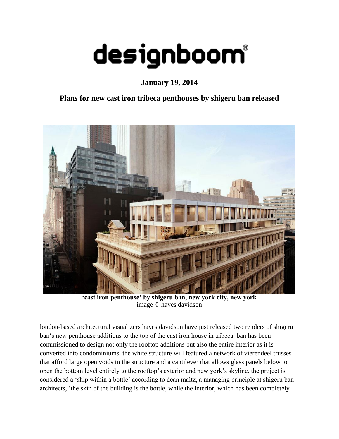## designboom®

**January 19, 2014**

## **Plans for new cast iron tribeca penthouses by shigeru ban released**



**'cast iron penthouse' by shigeru ban, new york city, new york** image © [hayes davidson](http://www.hayesdavidson.com/)

london-based architectural visualizers [hayes davidson](http://www.hayesdavidson.com/) have just released two renders of [shigeru](http://www.shigerubanarchitects.com/)  [ban'](http://www.shigerubanarchitects.com/)s new penthouse additions to the top of the cast iron house in tribeca. ban has been commissioned to design not only the rooftop additions but also the entire interior as it is converted into condominiums. the white structure will featured a network of vierendeel trusses that afford large open voids in the structure and a cantilever that allows glass panels below to open the bottom level entirely to the rooftop's exterior and new york's skyline. the project is considered a 'ship within a bottle' according to dean maltz, a managing principle at shigeru ban architects, 'the skin of the building is the bottle, while the interior, which has been completely